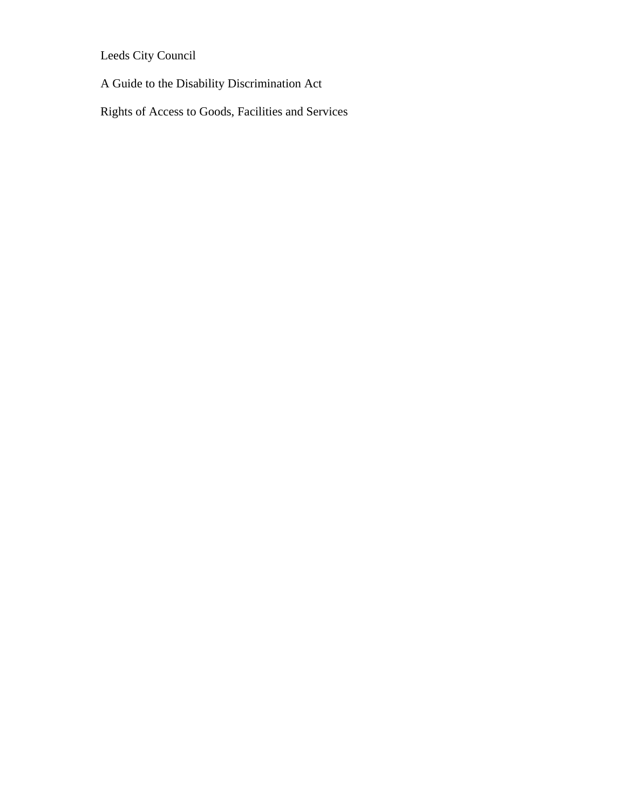Leeds City Council

A Guide to the Disability Discrimination Act

Rights of Access to Goods, Facilities and Services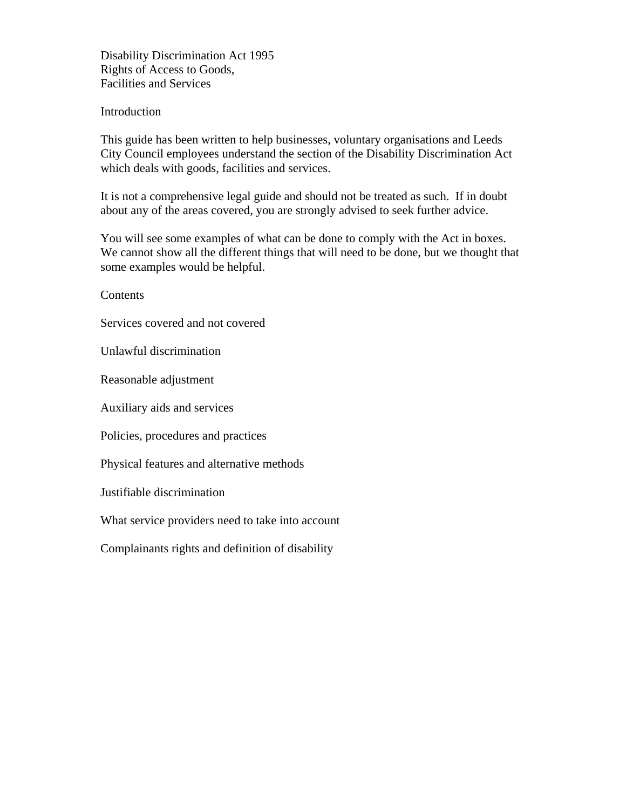Disability Discrimination Act 1995 Rights of Access to Goods, Facilities and Services

#### Introduction

This guide has been written to help businesses, voluntary organisations and Leeds City Council employees understand the section of the Disability Discrimination Act which deals with goods, facilities and services.

It is not a comprehensive legal guide and should not be treated as such. If in doubt about any of the areas covered, you are strongly advised to seek further advice.

You will see some examples of what can be done to comply with the Act in boxes. We cannot show all the different things that will need to be done, but we thought that some examples would be helpful.

Contents

Services covered and not covered

Unlawful discrimination

Reasonable adjustment

Auxiliary aids and services

Policies, procedures and practices

Physical features and alternative methods

Justifiable discrimination

What service providers need to take into account

Complainants rights and definition of disability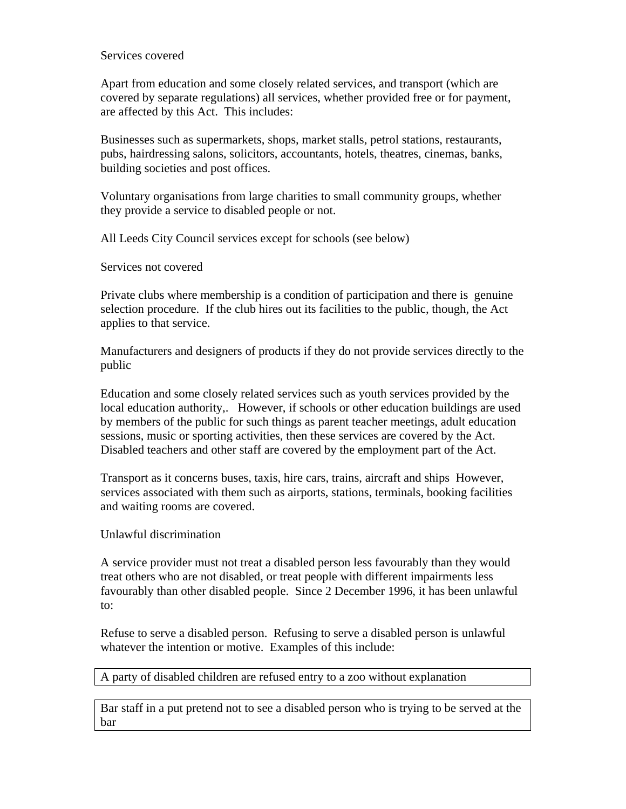#### Services covered

Apart from education and some closely related services, and transport (which are covered by separate regulations) all services, whether provided free or for payment, are affected by this Act. This includes:

Businesses such as supermarkets, shops, market stalls, petrol stations, restaurants, pubs, hairdressing salons, solicitors, accountants, hotels, theatres, cinemas, banks, building societies and post offices.

Voluntary organisations from large charities to small community groups, whether they provide a service to disabled people or not.

All Leeds City Council services except for schools (see below)

Services not covered

Private clubs where membership is a condition of participation and there is genuine selection procedure. If the club hires out its facilities to the public, though, the Act applies to that service.

Manufacturers and designers of products if they do not provide services directly to the public

Education and some closely related services such as youth services provided by the local education authority,. However, if schools or other education buildings are used by members of the public for such things as parent teacher meetings, adult education sessions, music or sporting activities, then these services are covered by the Act. Disabled teachers and other staff are covered by the employment part of the Act.

Transport as it concerns buses, taxis, hire cars, trains, aircraft and ships However, services associated with them such as airports, stations, terminals, booking facilities and waiting rooms are covered.

Unlawful discrimination

A service provider must not treat a disabled person less favourably than they would treat others who are not disabled, or treat people with different impairments less favourably than other disabled people. Since 2 December 1996, it has been unlawful to:

Refuse to serve a disabled person. Refusing to serve a disabled person is unlawful whatever the intention or motive. Examples of this include:

A party of disabled children are refused entry to a zoo without explanation

Bar staff in a put pretend not to see a disabled person who is trying to be served at the bar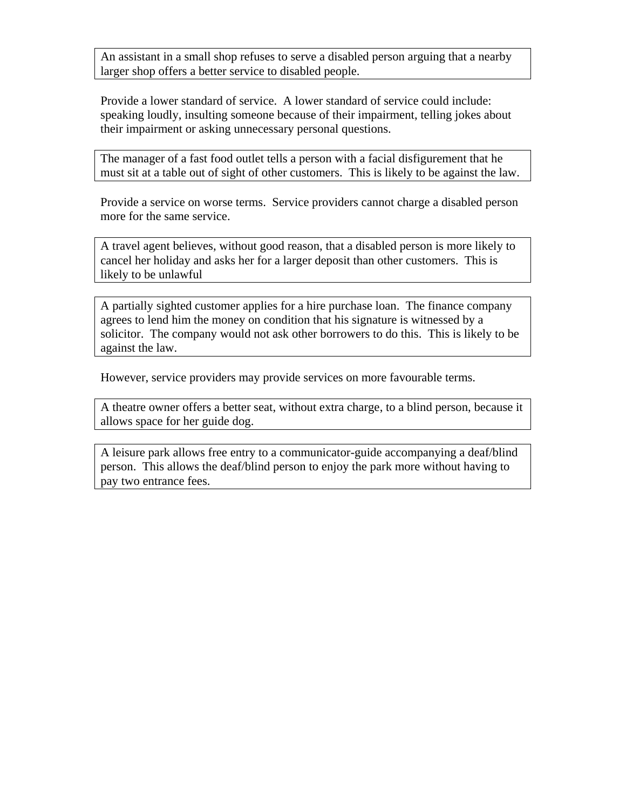An assistant in a small shop refuses to serve a disabled person arguing that a nearby larger shop offers a better service to disabled people.

Provide a lower standard of service. A lower standard of service could include: speaking loudly, insulting someone because of their impairment, telling jokes about their impairment or asking unnecessary personal questions.

The manager of a fast food outlet tells a person with a facial disfigurement that he must sit at a table out of sight of other customers. This is likely to be against the law.

Provide a service on worse terms. Service providers cannot charge a disabled person more for the same service.

A travel agent believes, without good reason, that a disabled person is more likely to cancel her holiday and asks her for a larger deposit than other customers. This is likely to be unlawful

A partially sighted customer applies for a hire purchase loan. The finance company agrees to lend him the money on condition that his signature is witnessed by a solicitor. The company would not ask other borrowers to do this. This is likely to be against the law.

However, service providers may provide services on more favourable terms.

A theatre owner offers a better seat, without extra charge, to a blind person, because it allows space for her guide dog.

A leisure park allows free entry to a communicator-guide accompanying a deaf/blind person. This allows the deaf/blind person to enjoy the park more without having to pay two entrance fees.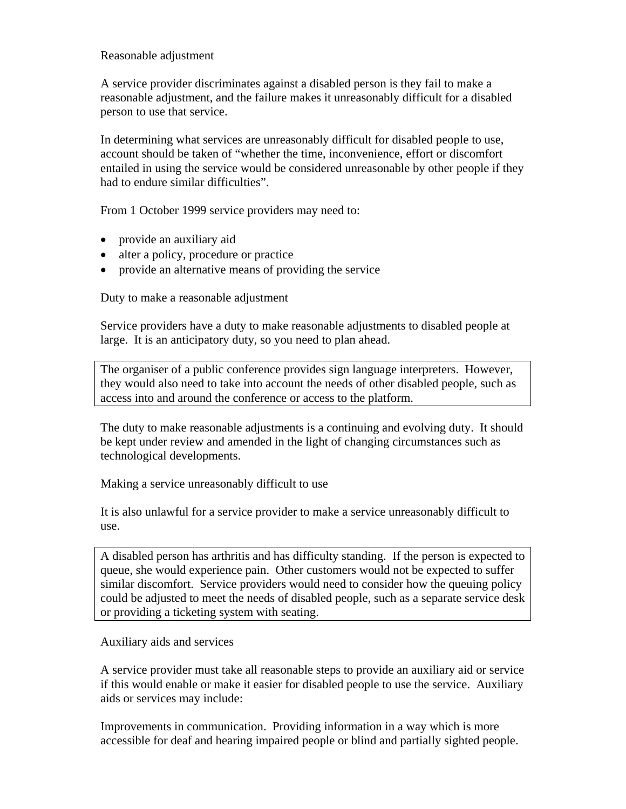### Reasonable adjustment

A service provider discriminates against a disabled person is they fail to make a reasonable adjustment, and the failure makes it unreasonably difficult for a disabled person to use that service.

In determining what services are unreasonably difficult for disabled people to use, account should be taken of "whether the time, inconvenience, effort or discomfort entailed in using the service would be considered unreasonable by other people if they had to endure similar difficulties".

From 1 October 1999 service providers may need to:

- provide an auxiliary aid
- alter a policy, procedure or practice
- provide an alternative means of providing the service

Duty to make a reasonable adjustment

Service providers have a duty to make reasonable adjustments to disabled people at large. It is an anticipatory duty, so you need to plan ahead.

The organiser of a public conference provides sign language interpreters. However, they would also need to take into account the needs of other disabled people, such as access into and around the conference or access to the platform.

The duty to make reasonable adjustments is a continuing and evolving duty. It should be kept under review and amended in the light of changing circumstances such as technological developments.

Making a service unreasonably difficult to use

It is also unlawful for a service provider to make a service unreasonably difficult to use.

A disabled person has arthritis and has difficulty standing. If the person is expected to queue, she would experience pain. Other customers would not be expected to suffer similar discomfort. Service providers would need to consider how the queuing policy could be adjusted to meet the needs of disabled people, such as a separate service desk or providing a ticketing system with seating.

Auxiliary aids and services

A service provider must take all reasonable steps to provide an auxiliary aid or service if this would enable or make it easier for disabled people to use the service. Auxiliary aids or services may include:

Improvements in communication. Providing information in a way which is more accessible for deaf and hearing impaired people or blind and partially sighted people.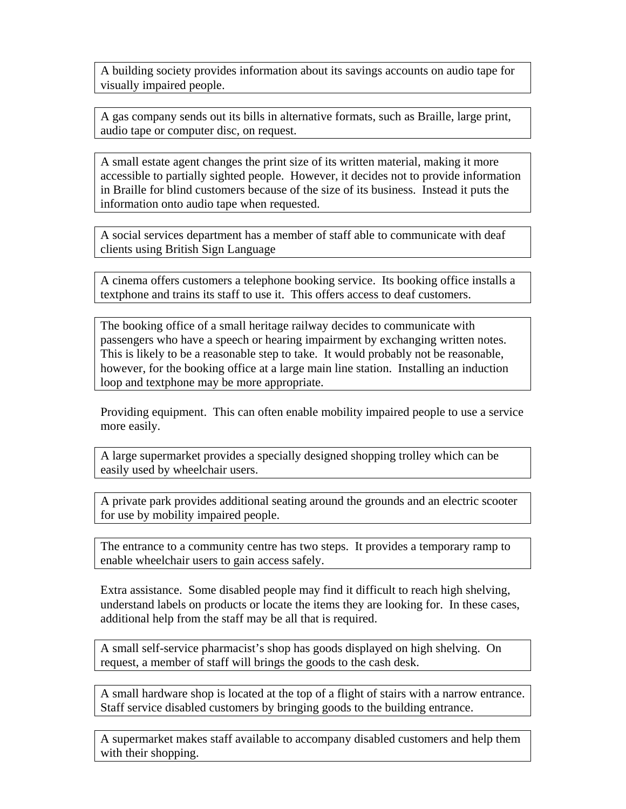A building society provides information about its savings accounts on audio tape for visually impaired people.

A gas company sends out its bills in alternative formats, such as Braille, large print, audio tape or computer disc, on request.

A small estate agent changes the print size of its written material, making it more accessible to partially sighted people. However, it decides not to provide information in Braille for blind customers because of the size of its business. Instead it puts the information onto audio tape when requested.

A social services department has a member of staff able to communicate with deaf clients using British Sign Language

A cinema offers customers a telephone booking service. Its booking office installs a textphone and trains its staff to use it. This offers access to deaf customers.

The booking office of a small heritage railway decides to communicate with passengers who have a speech or hearing impairment by exchanging written notes. This is likely to be a reasonable step to take. It would probably not be reasonable, however, for the booking office at a large main line station. Installing an induction loop and textphone may be more appropriate.

Providing equipment. This can often enable mobility impaired people to use a service more easily.

A large supermarket provides a specially designed shopping trolley which can be easily used by wheelchair users.

A private park provides additional seating around the grounds and an electric scooter for use by mobility impaired people.

The entrance to a community centre has two steps. It provides a temporary ramp to enable wheelchair users to gain access safely.

Extra assistance. Some disabled people may find it difficult to reach high shelving, understand labels on products or locate the items they are looking for. In these cases, additional help from the staff may be all that is required.

A small self-service pharmacist's shop has goods displayed on high shelving. On request, a member of staff will brings the goods to the cash desk.

A small hardware shop is located at the top of a flight of stairs with a narrow entrance. Staff service disabled customers by bringing goods to the building entrance.

A supermarket makes staff available to accompany disabled customers and help them with their shopping.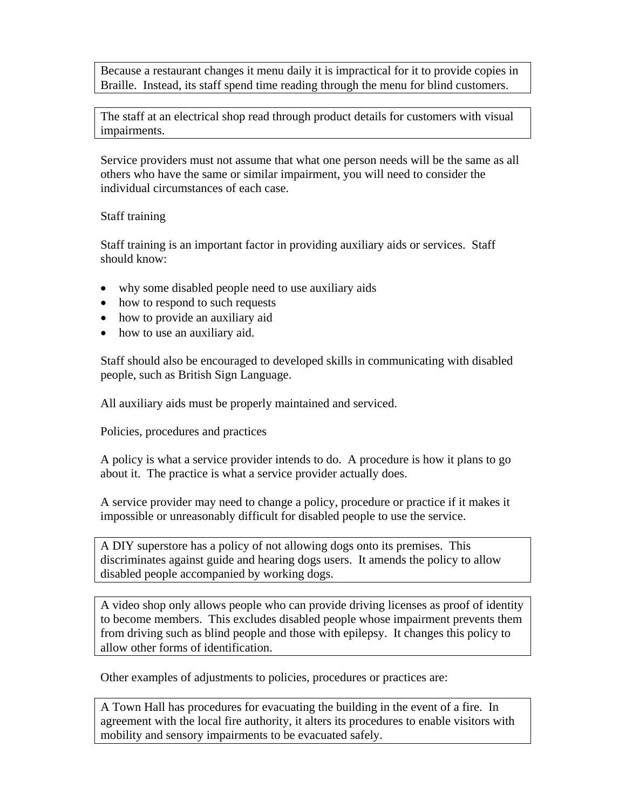Because a restaurant changes it menu daily it is impractical for it to provide copies in Braille. Instead, its staff spend time reading through the menu for blind customers.

The staff at an electrical shop read through product details for customers with visual impairments.

Service providers must not assume that what one person needs will be the same as all others who have the same or similar impairment, you will need to consider the individual circumstances of each case.

# Staff training

Staff training is an important factor in providing auxiliary aids or services. Staff should know:

- why some disabled people need to use auxiliary aids
- how to respond to such requests
- how to provide an auxiliary aid
- how to use an auxiliary aid.

Staff should also be encouraged to developed skills in communicating with disabled people, such as British Sign Language.

All auxiliary aids must be properly maintained and serviced.

Policies, procedures and practices

A policy is what a service provider intends to do. A procedure is how it plans to go about it. The practice is what a service provider actually does.

A service provider may need to change a policy, procedure or practice if it makes it impossible or unreasonably difficult for disabled people to use the service.

A DIY superstore has a policy of not allowing dogs onto its premises. This discriminates against guide and hearing dogs users. It amends the policy to allow disabled people accompanied by working dogs.

A video shop only allows people who can provide driving licenses as proof of identity to become members. This excludes disabled people whose impairment prevents them from driving such as blind people and those with epilepsy. It changes this policy to allow other forms of identification.

Other examples of adjustments to policies, procedures or practices are:

A Town Hall has procedures for evacuating the building in the event of a fire. In agreement with the local fire authority, it alters its procedures to enable visitors with mobility and sensory impairments to be evacuated safely.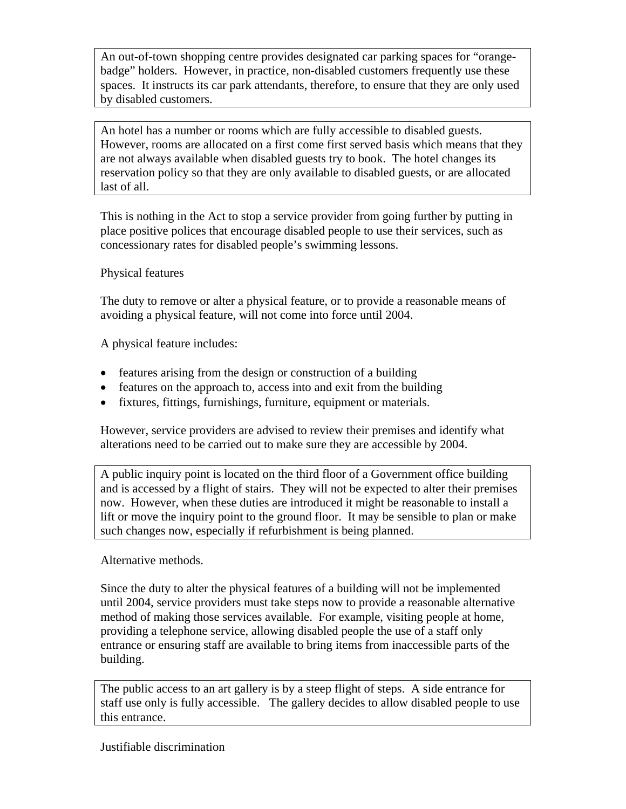An out-of-town shopping centre provides designated car parking spaces for "orangebadge" holders. However, in practice, non-disabled customers frequently use these spaces. It instructs its car park attendants, therefore, to ensure that they are only used by disabled customers.

An hotel has a number or rooms which are fully accessible to disabled guests. However, rooms are allocated on a first come first served basis which means that they are not always available when disabled guests try to book. The hotel changes its reservation policy so that they are only available to disabled guests, or are allocated last of all.

This is nothing in the Act to stop a service provider from going further by putting in place positive polices that encourage disabled people to use their services, such as concessionary rates for disabled people's swimming lessons.

Physical features

The duty to remove or alter a physical feature, or to provide a reasonable means of avoiding a physical feature, will not come into force until 2004.

A physical feature includes:

- features arising from the design or construction of a building
- features on the approach to, access into and exit from the building
- fixtures, fittings, furnishings, furniture, equipment or materials.

However, service providers are advised to review their premises and identify what alterations need to be carried out to make sure they are accessible by 2004.

A public inquiry point is located on the third floor of a Government office building and is accessed by a flight of stairs. They will not be expected to alter their premises now. However, when these duties are introduced it might be reasonable to install a lift or move the inquiry point to the ground floor. It may be sensible to plan or make such changes now, especially if refurbishment is being planned.

Alternative methods.

Since the duty to alter the physical features of a building will not be implemented until 2004, service providers must take steps now to provide a reasonable alternative method of making those services available. For example, visiting people at home, providing a telephone service, allowing disabled people the use of a staff only entrance or ensuring staff are available to bring items from inaccessible parts of the building.

The public access to an art gallery is by a steep flight of steps. A side entrance for staff use only is fully accessible. The gallery decides to allow disabled people to use this entrance.

Justifiable discrimination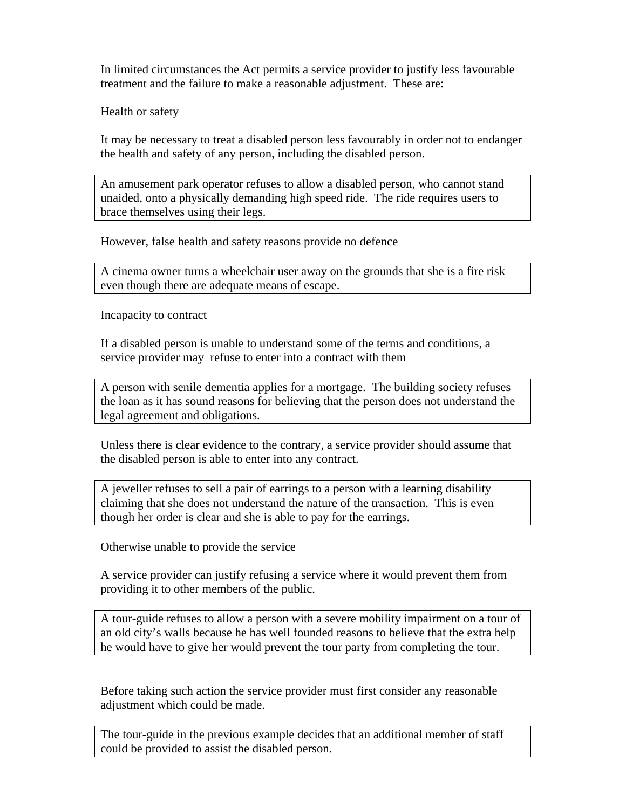In limited circumstances the Act permits a service provider to justify less favourable treatment and the failure to make a reasonable adjustment. These are:

Health or safety

It may be necessary to treat a disabled person less favourably in order not to endanger the health and safety of any person, including the disabled person.

An amusement park operator refuses to allow a disabled person, who cannot stand unaided, onto a physically demanding high speed ride. The ride requires users to brace themselves using their legs.

However, false health and safety reasons provide no defence

A cinema owner turns a wheelchair user away on the grounds that she is a fire risk even though there are adequate means of escape.

Incapacity to contract

If a disabled person is unable to understand some of the terms and conditions, a service provider may refuse to enter into a contract with them

A person with senile dementia applies for a mortgage. The building society refuses the loan as it has sound reasons for believing that the person does not understand the legal agreement and obligations.

Unless there is clear evidence to the contrary, a service provider should assume that the disabled person is able to enter into any contract.

A jeweller refuses to sell a pair of earrings to a person with a learning disability claiming that she does not understand the nature of the transaction. This is even though her order is clear and she is able to pay for the earrings.

Otherwise unable to provide the service

A service provider can justify refusing a service where it would prevent them from providing it to other members of the public.

A tour-guide refuses to allow a person with a severe mobility impairment on a tour of an old city's walls because he has well founded reasons to believe that the extra help he would have to give her would prevent the tour party from completing the tour.

Before taking such action the service provider must first consider any reasonable adjustment which could be made.

The tour-guide in the previous example decides that an additional member of staff could be provided to assist the disabled person.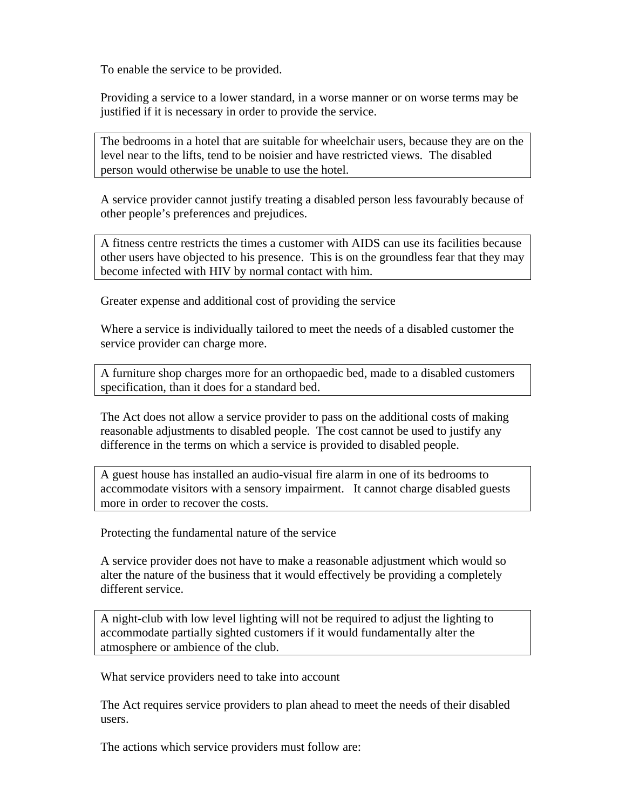To enable the service to be provided.

Providing a service to a lower standard, in a worse manner or on worse terms may be justified if it is necessary in order to provide the service.

The bedrooms in a hotel that are suitable for wheelchair users, because they are on the level near to the lifts, tend to be noisier and have restricted views. The disabled person would otherwise be unable to use the hotel.

A service provider cannot justify treating a disabled person less favourably because of other people's preferences and prejudices.

A fitness centre restricts the times a customer with AIDS can use its facilities because other users have objected to his presence. This is on the groundless fear that they may become infected with HIV by normal contact with him.

Greater expense and additional cost of providing the service

Where a service is individually tailored to meet the needs of a disabled customer the service provider can charge more.

A furniture shop charges more for an orthopaedic bed, made to a disabled customers specification, than it does for a standard bed.

The Act does not allow a service provider to pass on the additional costs of making reasonable adjustments to disabled people. The cost cannot be used to justify any difference in the terms on which a service is provided to disabled people.

A guest house has installed an audio-visual fire alarm in one of its bedrooms to accommodate visitors with a sensory impairment. It cannot charge disabled guests more in order to recover the costs.

Protecting the fundamental nature of the service

A service provider does not have to make a reasonable adjustment which would so alter the nature of the business that it would effectively be providing a completely different service.

A night-club with low level lighting will not be required to adjust the lighting to accommodate partially sighted customers if it would fundamentally alter the atmosphere or ambience of the club.

What service providers need to take into account

The Act requires service providers to plan ahead to meet the needs of their disabled users.

The actions which service providers must follow are: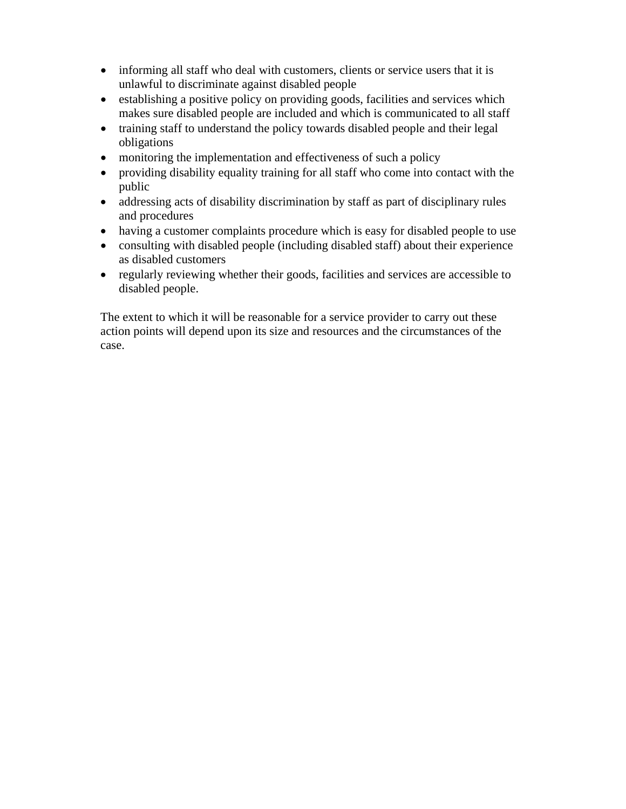- informing all staff who deal with customers, clients or service users that it is unlawful to discriminate against disabled people
- establishing a positive policy on providing goods, facilities and services which makes sure disabled people are included and which is communicated to all staff
- training staff to understand the policy towards disabled people and their legal obligations
- monitoring the implementation and effectiveness of such a policy
- providing disability equality training for all staff who come into contact with the public
- addressing acts of disability discrimination by staff as part of disciplinary rules and procedures
- having a customer complaints procedure which is easy for disabled people to use
- consulting with disabled people (including disabled staff) about their experience as disabled customers
- regularly reviewing whether their goods, facilities and services are accessible to disabled people.

The extent to which it will be reasonable for a service provider to carry out these action points will depend upon its size and resources and the circumstances of the case.